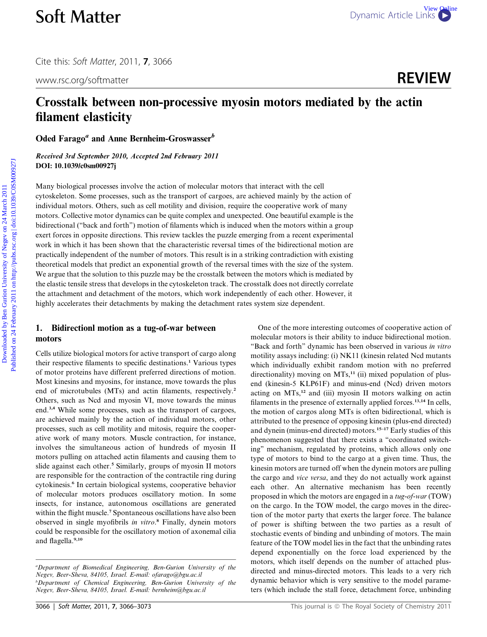Cite this: Soft Matter, 2011, 7, 3066

www.rsc.org/softmatter **REVIEW** 

# Crosstalk between non-processive myosin motors mediated by the actin filament elasticity

Oded Farago<sup>*a*</sup> and Anne Bernheim-Groswasser<sup>b</sup>

Received 3rd September 2010, Accepted 2nd February 2011 DOI: 10.1039/c0sm00927j

Many biological processes involve the action of molecular motors that interact with the cell cytoskeleton. Some processes, such as the transport of cargoes, are achieved mainly by the action of individual motors. Others, such as cell motility and division, require the cooperative work of many motors. Collective motor dynamics can be quite complex and unexpected. One beautiful example is the bidirectional (''back and forth'') motion of filaments which is induced when the motors within a group exert forces in opposite directions. This review tackles the puzzle emerging from a recent experimental work in which it has been shown that the characteristic reversal times of the bidirectional motion are practically independent of the number of motors. This result is in a striking contradiction with existing theoretical models that predict an exponential growth of the reversal times with the size of the system. We argue that the solution to this puzzle may be the crosstalk between the motors which is mediated by the elastic tensile stress that develops in the cytoskeleton track. The crosstalk does not directly correlate the attachment and detachment of the motors, which work independently of each other. However, it highly accelerates their detachments by making the detachment rates system size dependent. **Soft Matter** Dynamic Article Lives Component (Society 2011, 7, 3066)<br>
WWW.SC.org/Softmatter<br>
Crossfalk between non-processive myosin motors mediated by the actin<br> **filament elasticity**<br>
Considerance and Ame Bernheim-Grow

## 1. Bidirectionl motion as a tug-of-war between motors

Cells utilize biological motors for active transport of cargo along their respective filaments to specific destinations.<sup>1</sup> Various types of motor proteins have different preferred directions of motion. Most kinesins and myosins, for instance, move towards the plus end of microtubules (MTs) and actin filaments, respectively.<sup>2</sup> Others, such as Ncd and myosin VI, move towards the minus end.3,4 While some processes, such as the transport of cargoes, are achieved mainly by the action of individual motors, other processes, such as cell motility and mitosis, require the cooperative work of many motors. Muscle contraction, for instance, involves the simultaneous action of hundreds of myosin II motors pulling on attached actin filaments and causing them to slide against each other.<sup>5</sup> Similarly, groups of myosin II motors are responsible for the contraction of the contractile ring during cytokinesis.<sup>6</sup> In certain biological systems, cooperative behavior of molecular motors produces oscillatory motion. In some insects, for instance, autonomous oscillations are generated within the flight muscle.<sup>7</sup> Spontaneous oscillations have also been observed in single myofibrils in vitro.<sup>8</sup> Finally, dynein motors could be responsible for the oscillatory motion of axonemal cilia and flagella.<sup>9,10</sup>

One of the more interesting outcomes of cooperative action of molecular motors is their ability to induce bidirectional motion. "Back and forth" dynamic has been observed in various in vitro motility assays including: (i) NK11 (kinesin related Ncd mutants which individually exhibit random motion with no preferred directionality) moving on  $MTs<sub>11</sub><sup>11</sup>$  (ii) mixed population of plusend (kinesin-5 KLP61F) and minus-end (Ncd) driven motors acting on MTs,<sup>12</sup> and (iii) myosin II motors walking on actin filaments in the presence of externally applied forces.<sup>13,14</sup> In cells, the motion of cargos along MTs is often bidirectional, which is attributed to the presence of opposing kinesin (plus-end directed) and dynein (minus-end directed) motors.<sup>15–17</sup> Early studies of this phenomenon suggested that there exists a ''coordinated switching'' mechanism, regulated by proteins, which allows only one type of motors to bind to the cargo at a given time. Thus, the kinesin motors are turned off when the dynein motors are pulling the cargo and vice versa, and they do not actually work against each other. An alternative mechanism has been recently proposed in which the motors are engaged in a tug-of-war (TOW) on the cargo. In the TOW model, the cargo moves in the direction of the motor party that exerts the larger force. The balance of power is shifting between the two parties as a result of stochastic events of binding and unbinding of motors. The main feature of the TOW model lies in the fact that the unbinding rates depend exponentially on the force load experienced by the motors, which itself depends on the number of attached plusdirected and minus-directed motors. This leads to a very rich dynamic behavior which is very sensitive to the model parameters (which include the stall force, detachment force, unbinding

a Department of Biomedical Engineering, Ben-Gurion University of the Negev, Beer-Sheva, 84105, Israel. E-mail: ofarago@bgu.ac.il b Department of Chemical Engineering, Ben-Gurion University of the Negev, Beer-Sheva, 84105, Israel. E-mail: bernheim@bgu.ac.il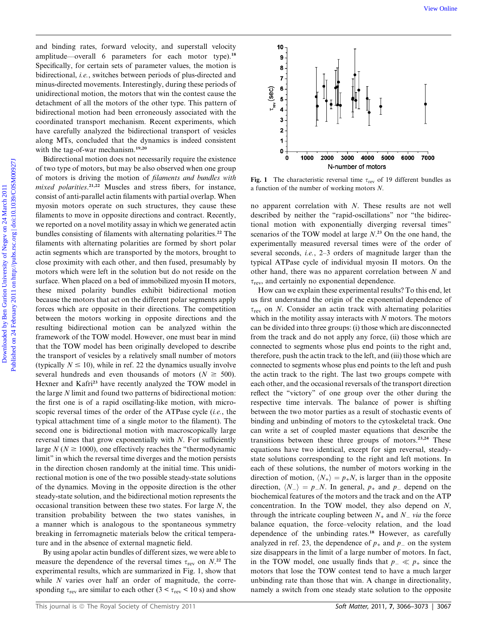and binding rates, forward velocity, and superstall velocity amplitude—overall 6 parameters for each motor type).<sup>18</sup> Specifically, for certain sets of parameter values, the motion is bidirectional, i.e., switches between periods of plus-directed and minus-directed movements. Interestingly, during these periods of unidirectional motion, the motors that win the contest cause the detachment of all the motors of the other type. This pattern of bidirectional motion had been erroneously associated with the coordinated transport mechanism. Recent experiments, which have carefully analyzed the bidirectional transport of vesicles along MTs, concluded that the dynamics is indeed consistent with the tag-of-war mechanism.<sup>19,20</sup>

Bidirectional motion does not necessarily require the existence of two type of motors, but may be also observed when one group of motors is driving the motion of filaments and bundles with mixed polarities.<sup>21,22</sup> Muscles and stress fibers, for instance, consist of anti-parallel actin filaments with partial overlap. When myosin motors operate on such structures, they cause these filaments to move in opposite directions and contract. Recently, we reported on a novel motility assay in which we generated actin bundles consisting of filaments with alternating polarities.<sup>22</sup> The filaments with alternating polarities are formed by short polar actin segments which are transported by the motors, brought to close proximity with each other, and then fused, presumably by motors which were left in the solution but do not reside on the surface. When placed on a bed of immobilized myosin II motors, these mixed polarity bundles exhibit bidirectional motion because the motors that act on the different polar segments apply forces which are opposite in their directions. The competition between the motors working in opposite directions and the resulting bidirectional motion can be analyzed within the framework of the TOW model. However, one must bear in mind that the TOW model has been originally developed to describe the transport of vesicles by a relatively small number of motors (typically  $N \le 10$ ), while in ref. 22 the dynamics usually involve several hundreds and even thousands of motors ( $N \ge 500$ ). Hexner and Kafri<sup>23</sup> have recently analyzed the TOW model in the large N limit and found two patterns of bidirectional motion: the first one is of a rapid oscillating-like motion, with microscopic reversal times of the order of the ATPase cycle (i.e., the typical attachment time of a single motor to the filament). The second one is bidirectional motion with macroscopically large reversal times that grow exponentially with N. For sufficiently large  $N (N \ge 1000)$ , one effectively reaches the "thermodynamic limit'' in which the reversal time diverges and the motion persists in the direction chosen randomly at the initial time. This unidirectional motion is one of the two possible steady-state solutions of the dynamics. Moving in the opposite direction is the other steady-state solution, and the bidirectional motion represents the occasional transition between these two states. For large N, the transition probability between the two states vanishes, in a manner which is analogous to the spontaneous symmetry breaking in ferromagnetic materials below the critical temperature and in the absence of external magnetic field. We busine the constraints, instant version (see the model of pubblished constraints) and a specifically, for externs in the particle by the published on 24 February 2011 Published and the constraints of Negerial Alexander

By using apolar actin bundles of different sizes, we were able to measure the dependence of the reversal times  $\tau_{\text{rev}}$  on  $N^{22}$ . The experimental results, which are summarized in Fig. 1, show that while  $N$  varies over half an order of magnitude, the corresponding  $\tau_{rev}$  are similar to each other (3 <  $\tau_{rev}$  < 10 s) and show



Fig. 1 The characteristic reversal time  $\tau_{\text{rev}}$  of 19 different bundles as a function of the number of working motors N.

no apparent correlation with N. These results are not well described by neither the ''rapid-oscillations'' nor ''the bidirectional motion with exponentially diverging reversal times'' scenarios of the TOW model at large  $N^{23}$  On the one hand, the experimentally measured reversal times were of the order of several seconds, i.e., 2–3 orders of magnitude larger than the typical ATPase cycle of individual myosin II motors. On the other hand, there was no apparent correlation between N and  $\tau_{\rm rev}$ , and certainly no exponential dependence.

How can we explain these experimental results? To this end, let us first understand the origin of the exponential dependence of  $\tau_{\text{rev}}$  on N. Consider an actin track with alternating polarities which in the motility assay interacts with  $N$  motors. The motors can be divided into three groups: (i) those which are disconnected from the track and do not apply any force, (ii) those which are connected to segments whose plus end points to the right and, therefore, push the actin track to the left, and (iii) those which are connected to segments whose plus end points to the left and push the actin track to the right. The last two groups compete with each other, and the occasional reversals of the transport direction reflect the ''victory'' of one group over the other during the respective time intervals. The balance of power is shifting between the two motor parties as a result of stochastic events of binding and unbinding of motors to the cytoskeletal track. One can write a set of coupled master equations that describe the transitions between these three groups of motors.23,24 These equations have two identical, except for sign reversal, steadystate solutions corresponding to the right and left motions. In each of these solutions, the number of motors working in the direction of motion,  $\langle N_{+} \rangle = p_{+}N$ , is larger than in the opposite direction,  $\langle N_{-} \rangle = p_{-}N$ . In general,  $p_{+}$  and  $p_{-}$  depend on the biochemical features of the motors and the track and on the ATP concentration. In the TOW model, they also depend on N, through the intricate coupling between  $N_+$  and  $N_-$  via the force balance equation, the force–velocity relation, and the load dependence of the unbinding rates.<sup>18</sup> However, as carefully analyzed in ref. 23, the dependence of  $p_+$  and  $p_-$  on the system size disappears in the limit of a large number of motors. In fact, in the TOW model, one usually finds that  $p_{-} \ll p_{+}$  since the motors that lose the TOW contest tend to have a much larger unbinding rate than those that win. A change in directionality, namely a switch from one steady state solution to the opposite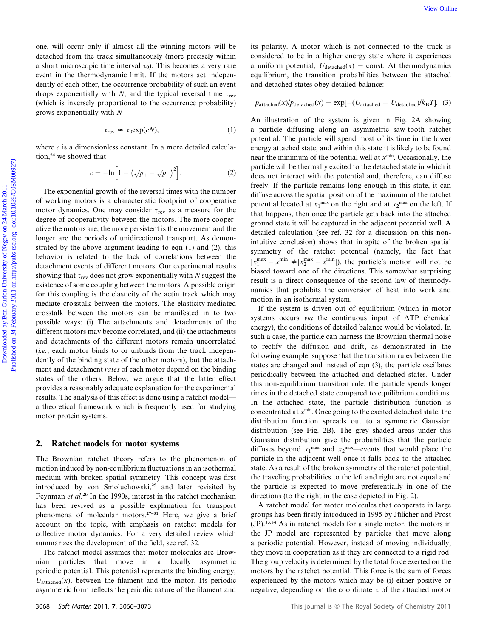one, will occur only if almost all the winning motors will be detached from the track simultaneously (more precisely within a short microscopic time interval  $\tau_0$ ). This becomes a very rare event in the thermodynamic limit. If the motors act independently of each other, the occurrence probability of such an event drops exponentially with N, and the typical reversal time  $\tau_{\text{rev}}$ (which is inversely proportional to the occurrence probability) grows exponentially with N

$$
\tau_{\text{rev}} \approx \tau_0 \exp(cN),\tag{1}
$$

where  $c$  is a dimensionless constant. In a more detailed calculation,<sup>24</sup> we showed that

$$
c = -\ln\left[1 - \left(\sqrt{p_+} - \sqrt{p_-}\right)^2\right].
$$
 (2)

The exponential growth of the reversal times with the number of working motors is a characteristic footprint of cooperative motor dynamics. One may consider  $\tau_{\text{rev}}$  as a measure for the degree of cooperativity between the motors. The more cooperative the motors are, the more persistent is the movement and the longer are the periods of unidirectional transport. As demonstrated by the above argument leading to eqn (1) and (2), this behavior is related to the lack of correlations between the detachment events of different motors. Our experimental results showing that  $\tau_{\text{rev}}$  does not grow exponentially with N suggest the existence of some coupling between the motors. A possible origin for this coupling is the elasticity of the actin track which may mediate crosstalk between the motors. The elasticity-mediated crosstalk between the motors can be manifested in to two possible ways: (i) The attachments and detachments of the different motors may become correlated, and (ii) the attachments and detachments of the different motors remain uncorrelated (i.e., each motor binds to or unbinds from the track independently of the binding state of the other motors), but the attachment and detachment rates of each motor depend on the binding states of the others. Below, we argue that the latter effect provides a reasonably adequate explanation for the experimental results. The analysis of this effect is done using a ratchet model a theoretical framework which is frequently used for studying motor protein systems.

#### 2. Ratchet models for motor systems

The Brownian ratchet theory refers to the phenomenon of motion induced by non-equilibrium fluctuations in an isothermal medium with broken spatial symmetry. This concept was first introduced by von Smoluchowski,<sup>25</sup> and later revisited by Feynman et al.<sup>26</sup> In the 1990s, interest in the ratchet mechanism has been revived as a possible explanation for transport phenomena of molecular motors.27–31 Here, we give a brief account on the topic, with emphasis on ratchet models for collective motor dynamics. For a very detailed review which summarizes the development of the field, see ref. 32.

The ratchet model assumes that motor molecules are Brownian particles that move in a locally asymmetric periodic potential. This potential represents the binding energy,  $U_{\text{attached}}(x)$ , between the filament and the motor. Its periodic asymmetric form reflects the periodic nature of the filament and

its polarity. A motor which is not connected to the track is considered to be in a higher energy state where it experiences a uniform potential,  $U_{\text{detached}}(x) = \text{const.}$  At thermodynamics equilibrium, the transition probabilities between the attached and detached states obey detailed balance:

$$
p_{\text{attached}}(x)/p_{\text{detached}}(x) = \exp[-(U_{\text{attached}} - U_{\text{detached}})/k_{\text{B}}T].
$$
 (3)

An illustration of the system is given in Fig. 2A showing a particle diffusing along an asymmetric saw-tooth ratchet potential. The particle will spend most of its time in the lower energy attached state, and within this state it is likely to be found near the minimum of the potential well at  $x^{\text{min}}$ . Occasionally, the particle will be thermally excited to the detached state in which it does not interact with the potential and, therefore, can diffuse freely. If the particle remains long enough in this state, it can diffuse across the spatial position of the maximum of the ratchet potential located at  $x_1^{\text{max}}$  on the right and at  $x_2^{\text{max}}$  on the left. If that happens, then once the particle gets back into the attached ground state it will be captured in the adjacent potential well. A detailed calculation (see ref. 32 for a discussion on this nonintuitive conclusion) shows that in spite of the broken spatial symmetry of the ratchet potential (namely, the fact that  $|x_1^{\text{max}} - x^{\text{min}}| \neq |x_2^{\text{max}} - x^{\text{min}}|$ , the particle's motion will not be biased toward one of the directions. This somewhat surprising result is a direct consequence of the second law of thermodynamics that prohibits the conversion of heat into work and motion in an isothermal system. We bushed one with these and the wittering meters will be its relativy. A meter which is not constrained to the rank signic and the signic varies of the activity of the particular constrained by the intermediate intermedi

If the system is driven out of equilibrium (which in motor systems occurs via the continuous input of ATP chemical energy), the conditions of detailed balance would be violated. In such a case, the particle can harness the Brownian thermal noise to rectify the diffusion and drift, as demonstrated in the following example: suppose that the transition rules between the states are changed and instead of eqn (3), the particle oscillates periodically between the attached and detached states. Under this non-equilibrium transition rule, the particle spends longer times in the detached state compared to equilibrium conditions. In the attached state, the particle distribution function is concentrated at  $x^{\text{min}}$ . Once going to the excited detached state, the distribution function spreads out to a symmetric Gaussian distribution (see Fig. 2B). The grey shaded areas under this Gaussian distribution give the probabilities that the particle diffuses beyond  $x_1^{\text{max}}$  and  $x_2^{\text{max}}$ —events that would place the particle in the adjacent well once it falls back to the attached state. As a result of the broken symmetry of the ratchet potential, the traveling probabilities to the left and right are not equal and the particle is expected to move preferentially in one of the directions (to the right in the case depicted in Fig. 2).

A ratchet model for motor molecules that cooperate in large groups has been firstly introduced in 1995 by Jülicher and Prost (JP).33,34 As in ratchet models for a single motor, the motors in the JP model are represented by particles that move along a periodic potential. However, instead of moving individually, they move in cooperation as if they are connected to a rigid rod. The group velocity is determined by the total force exerted on the motors by the ratchet potential. This force is the sum of forces experienced by the motors which may be (i) either positive or negative, depending on the coordinate x of the attached motor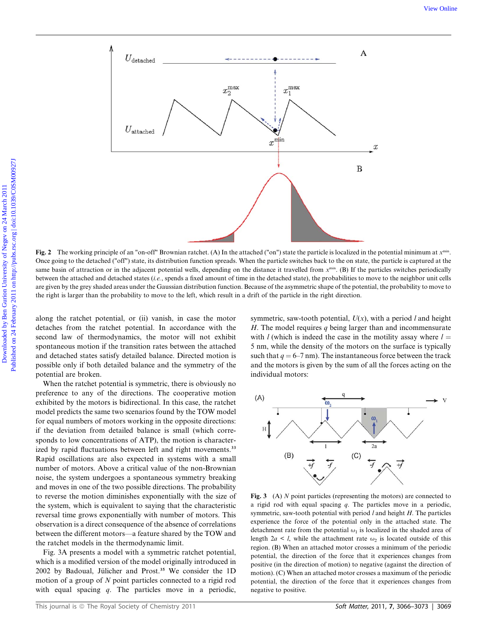

Fig. 2 The working principle of an "on-off" Brownian ratchet. (A) In the attached ("on") state the particle is localized in the potential minimum at  $x^{min}$ . Once going to the detached ("off") state, its distribution function spreads. When the particle switches back to the on state, the particle is captured at the same basin of attraction or in the adjacent potential wells, depending on the distance it travelled from  $x^{min}$ . (B) If the particles switches periodically between the attached and detached states (i.e., spends a fixed amount of time in the detached state), the probabilities to move to the neighbor unit cells are given by the grey shaded areas under the Gaussian distribution function. Because of the asymmetric shape of the potential, the probability to move to the right is larger than the probability to move to the left, which result in a drift of the particle in the right direction.

along the ratchet potential, or (ii) vanish, in case the motor detaches from the ratchet potential. In accordance with the second law of thermodynamics, the motor will not exhibit spontaneous motion if the transition rates between the attached and detached states satisfy detailed balance. Directed motion is possible only if both detailed balance and the symmetry of the potential are broken.

When the ratchet potential is symmetric, there is obviously no preference to any of the directions. The cooperative motion exhibited by the motors is bidirectional. In this case, the ratchet model predicts the same two scenarios found by the TOW model for equal numbers of motors working in the opposite directions: if the deviation from detailed balance is small (which corresponds to low concentrations of ATP), the motion is characterized by rapid fluctuations between left and right movements.<sup>33</sup> Rapid oscillations are also expected in systems with a small number of motors. Above a critical value of the non-Brownian noise, the system undergoes a spontaneous symmetry breaking and moves in one of the two possible directions. The probability to reverse the motion diminishes exponentially with the size of the system, which is equivalent to saying that the characteristic reversal time grows exponentially with number of motors. This observation is a direct consequence of the absence of correlations between the different motors—a feature shared by the TOW and the ratchet models in the thermodynamic limit.

Fig. 3A presents a model with a symmetric ratchet potential, which is a modified version of the model originally introduced in 2002 by Badoual, Jülicher and Prost.<sup>35</sup> We consider the 1D motion of a group of N point particles connected to a rigid rod with equal spacing  $q$ . The particles move in a periodic. symmetric, saw-tooth potential,  $U(x)$ , with a period l and height H. The model requires  $q$  being larger than and incommensurate with l (which is indeed the case in the motility assay where  $l =$ 5 nm, while the density of the motors on the surface is typically such that  $q = 6-7$  nm). The instantaneous force between the track and the motors is given by the sum of all the forces acting on the individual motors:



Fig. 3 (A) N point particles (representing the motors) are connected to a rigid rod with equal spacing  $q$ . The particles move in a periodic, symmetric, saw-tooth potential with period  $l$  and height  $H$ . The particles experience the force of the potential only in the attached state. The detachment rate from the potential  $\omega_1$  is localized in the shaded area of length  $2a < l$ , while the attachment rate  $\omega_2$  is located outside of this region. (B) When an attached motor crosses a minimum of the periodic potential, the direction of the force that it experiences changes from positive (in the direction of motion) to negative (against the direction of motion). (C) When an attached motor crosses a maximum of the periodic potential, the direction of the force that it experiences changes from negative to positive.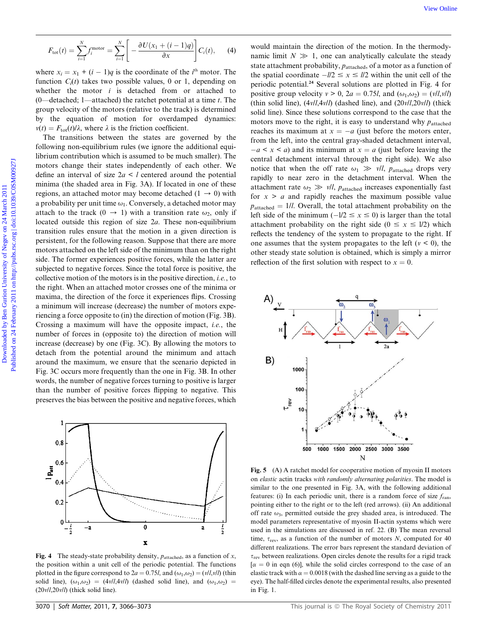$$
F_{\text{tot}}(t) = \sum_{i=1}^{N} f_i^{\text{motor}} = \sum_{i=1}^{N} \left[ -\frac{\partial U(x_1 + (i-1)q)}{\partial x} \right] C_i(t), \quad (4)
$$

where  $x_i = x_1 + (i - 1)q$  is the coordinate of the  $i<sup>th</sup>$  motor. The function  $C_i(t)$  takes two possible values, 0 or 1, depending on whether the motor i is detached from or attached to (0—detached; 1—attached) the ratchet potential at a time  $t$ . The group velocity of the motors (relative to the track) is determined by the equation of motion for overdamped dynamics:  $v(t) = F_{\text{tot}}(t)/\lambda$ , where  $\lambda$  is the friction coefficient.

The transitions between the states are governed by the following non-equilibrium rules (we ignore the additional equilibrium contribution which is assumed to be much smaller). The motors change their states independently of each other. We define an interval of size  $2a < l$  centered around the potential minima (the shaded area in Fig. 3A). If located in one of these regions, an attached motor may become detached  $(1 \rightarrow 0)$  with a probability per unit time  $\omega_1$ . Conversely, a detached motor may attach to the track (0  $\rightarrow$  1) with a transition rate  $\omega_2$ , only if located outside this region of size 2a. These non-equilibrium transition rules ensure that the motion in a given direction is persistent, for the following reason. Suppose that there are more motors attached on the left side of the minimum than on the right side. The former experiences positive forces, while the latter are subjected to negative forces. Since the total force is positive, the collective motion of the motors is in the positive direction, i.e., to the right. When an attached motor crosses one of the minima or maxima, the direction of the force it experiences flips. Crossing a minimum will increase (decrease) the number of motors experiencing a force opposite to (in) the direction of motion (Fig. 3B). Crossing a maximum will have the opposite impact, i.e., the number of forces in (opposite to) the direction of motion will increase (decrease) by one (Fig. 3C). By allowing the motors to detach from the potential around the minimum and attach around the maximum, we ensure that the scenario depicted in Fig. 3C occurs more frequently than the one in Fig. 3B. In other words, the number of negative forces turning to positive is larger than the number of positive forces flipping to negative. This preserves the bias between the positive and negative forces, which Find  $D = \sum_{n=1}^{\infty} \int_{0}^{\infty} \frac{dU(x_1 + (d-1)a)}{dx_1 dx_2 dx_3}$  (c), (4) would maintain the dimetric on the bennefits of Negevious Contents (Are notes and March 2012) where  $\lambda/2 \ge 4 \le 2.52$  Contents (Are notes and March 2012)



Fig. 4 The steady-state probability density,  $p_{\text{attached}}$ , as a function of x, the position within a unit cell of the periodic potential. The functions plotted in the figure correspond to  $2a = 0.75l$ , and  $(\omega_1, \omega_2) = (v/l, v/l)$  (thin solid line),  $(\omega_1, \omega_2) = (4\nu/l, 4\nu/l)$  (dashed solid line), and  $(\omega_1, \omega_2)$  =  $(20v/l, 20v/l)$  (thick solid line).

would maintain the direction of the motion. In the thermodynamic limit  $N \gg 1$ , one can analytically calculate the steady state attachment probability,  $p_{\text{attached}}$ , of a motor as a function of the spatial coordinate  $-l/2 \le x \le l/2$  within the unit cell of the periodic potential.<sup>24</sup> Several solutions are plotted in Fig. 4 for positive group velocity  $v > 0$ ,  $2a = 0.75l$ , and  $(\omega_1, \omega_2) = (vl,vl)$ (thin solid line),  $(4v/l,4v/l)$  (dashed line), and  $(20v/l,20v/l)$  (thick solid line). Since these solutions correspond to the case that the motors move to the right, it is easy to understand why  $p_{\text{attached}}$ reaches its maximum at  $x = -a$  (just before the motors enter, from the left, into the central gray-shaded detachment interval,  $-a \leq x \leq a$ ) and its minimum at  $x = a$  (just before leaving the central detachment interval through the right side). We also notice that when the off rate  $\omega_1 \gg v/l$ ,  $p_{\text{attached}}$  drops very rapidly to near zero in the detachment interval. When the attachment rate  $\omega_2 \gg v/l$ , p<sub>attached</sub> increases exponentially fast for  $x > a$  and rapidly reaches the maximum possible value  $p_{\text{attached}} = 1/l$ . Overall, the total attachment probability on the left side of the minimum ( $-1/2 \le x \le 0$ ) is larger than the total attachment probability on the right side ( $0 \le x \le 1/2$ ) which reflects the tendency of the system to propagate to the right. If one assumes that the system propagates to the left ( $v < 0$ ), the other steady state solution is obtained, which is simply a mirror reflection of the first solution with respect to  $x = 0$ .



Fig. 5 (A) A ratchet model for cooperative motion of myosin II motors on elastic actin tracks with randomly alternating polarities. The model is similar to the one presented in Fig. 3A, with the following additional features: (i) In each periodic unit, there is a random force of size  $f_{\text{ran}}$ , pointing either to the right or to the left (red arrows). (ii) An additional off rate  $\omega_3$ , permitted outside the grey shaded area, is introduced. The model parameters representative of myosin II-actin systems which were used in the simulations are discussed in ref. 22. (B) The mean reversal time,  $\tau_{\text{rev}}$ , as a function of the number of motors N, computed for 40 different realizations. The error bars represent the standard deviation of  $\tau_{\text{rev}}$  between realizations. Open circles denote the results for a rigid track  $[\alpha = 0$  in eqn (6)], while the solid circles correspond to the case of an elastic track with  $\alpha = 0.0018$  (with the dashed line serving as a guide to the eye). The half-filled circles denote the experimental results, also presented in Fig. 1.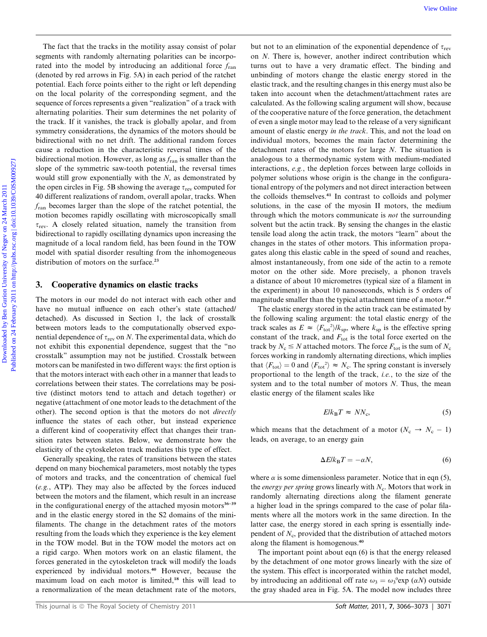The fact that the tracks in the motility assay consist of polar segments with randomly alternating polarities can be incorporated into the model by introducing an additional force  $f_{\text{ran}}$ (denoted by red arrows in Fig. 5A) in each period of the ratchet potential. Each force points either to the right or left depending on the local polarity of the corresponding segment, and the sequence of forces represents a given "realization" of a track with alternating polarities. Their sum determines the net polarity of the track. If it vanishes, the track is globally apolar, and from symmetry considerations, the dynamics of the motors should be bidirectional with no net drift. The additional random forces cause a reduction in the characteristic reversal times of the bidirectional motion. However, as long as  $f_{\text{ran}}$  is smaller than the slope of the symmetric saw-tooth potential, the reversal times would still grow exponentially with the  $N$ , as demonstrated by the open circles in Fig. 5B showing the average  $\tau_{\text{rev}}$  computed for 40 different realizations of random, overall apolar, tracks. When  $f<sub>ran</sub>$  becomes larger than the slope of the ratchet potential, the motion becomes rapidly oscillating with microscopically small  $\tau_{\text{rev}}$ . A closely related situation, namely the transition from bidirectional to rapidly oscillating dynamics upon increasing the magnitude of a local random field, has been found in the TOW model with spatial disorder resulting from the inhomogeneous distribution of motors on the surface.<sup>23</sup>

#### 3. Cooperative dynamics on elastic tracks

The motors in our model do not interact with each other and have no mutual influence on each other's state (attached/ detached). As discussed in Section 1, the lack of crosstalk between motors leads to the computationally observed exponential dependence of  $\tau_{\text{rev}}$  on N. The experimental data, which do not exhibit this exponential dependence, suggest that the ''no crosstalk'' assumption may not be justified. Crosstalk between motors can be manifested in two different ways: the first option is that the motors interact with each other in a manner that leads to correlations between their states. The correlations may be positive (distinct motors tend to attach and detach together) or negative (attachment of one motor leads to the detachment of the other). The second option is that the motors do not directly influence the states of each other, but instead experience a different kind of cooperativity effect that changes their transition rates between states. Below, we demonstrate how the elasticity of the cytoskeleton track mediates this type of effect.

Generally speaking, the rates of transitions between the states depend on many biochemical parameters, most notably the types of motors and tracks, and the concentration of chemical fuel (e.g., ATP). They may also be affected by the forces induced between the motors and the filament, which result in an increase in the configurational energy of the attached myosin motors<sup>36-39</sup> and in the elastic energy stored in the S2 domains of the minifilaments. The change in the detachment rates of the motors resulting from the loads which they experience is the key element in the TOW model. But in the TOW model the motors act on a rigid cargo. When motors work on an elastic filament, the forces generated in the cytoskeleton track will modify the loads experienced by individual motors.<sup>40</sup> However, because the maximum load on each motor is limited,<sup>18</sup> this will lead to a renormalization of the mean detachment rate of the motors,

but not to an elimination of the exponential dependence of  $\tau_{\text{rev}}$ on N. There is, however, another indirect contribution which turns out to have a very dramatic effect. The binding and unbinding of motors change the elastic energy stored in the elastic track, and the resulting changes in this energy must also be taken into account when the detachment/attachment rates are calculated. As the following scaling argument will show, because of the cooperative nature of the force generation, the detachment of even a single motor may lead to the release of a very significant amount of elastic energy in the track. This, and not the load on individual motors, becomes the main factor determining the detachment rates of the motors for large N. The situation is analogous to a thermodynamic system with medium-mediated interactions, e.g., the depletion forces between large colloids in polymer solutions whose origin is the change in the configurational entropy of the polymers and not direct interaction between the colloids themselves.<sup>41</sup> In contrast to colloids and polymer solutions, in the case of the myosin II motors, the medium through which the motors communicate is not the surrounding solvent but the actin track. By sensing the changes in the elastic tensile load along the actin track, the motors ''learn'' about the changes in the states of other motors. This information propagates along this elastic cable in the speed of sound and reaches, almost instantaneously, from one side of the actin to a remote motor on the other side. More precisely, a phonon travels a distance of about 10 micrometres (typical size of a filament in the experiment) in about 10 nanoseconds, which is 5 orders of magnitude smaller than the typical attachment time of a motor.<sup>42</sup> The fact that the pueds in the moltity assey consist of polar in that the animalizer of the exponential dependent of the space of the constrained by the constrained by Ben Gurion University of the constrained by the const

The elastic energy stored in the actin track can be estimated by the following scaling argument: the total elastic energy of the track scales as  $E \approx \langle F_{\text{tot}}^2 \rangle / k_{\text{sp}}$ , where  $k_{\text{sp}}$  is the effective spring constant of the track, and  $F_{\text{tot}}$  is the total force exerted on the track by  $N_c \le N$  attached motors. The force  $F_{\text{tot}}$  is the sum of  $N_c$ forces working in randomly alternating directions, which implies that  $\langle F_{\text{tot}} \rangle = 0$  and  $\langle F_{\text{tot}}^2 \rangle \approx N_c$ . The spring constant is inversely proportional to the length of the track, i.e., to the size of the system and to the total number of motors N. Thus, the mean elastic energy of the filament scales like

$$
E/k_{\rm B}T \approx NN_{\rm c},\tag{5}
$$

which means that the detachment of a motor ( $N_c \rightarrow N_c - 1$ ) leads, on average, to an energy gain

$$
\Delta E/k_{\rm B}T = -\alpha N,\tag{6}
$$

where  $\alpha$  is some dimensionless parameter. Notice that in eqn (5), the energy per spring grows linearly with  $N_c$ . Motors that work in randomly alternating directions along the filament generate a higher load in the springs compared to the case of polar filaments where all the motors work in the same direction. In the latter case, the energy stored in each spring is essentially independent of  $N_c$ , provided that the distribution of attached motors along the filament is homogenous.<sup>40</sup>

The important point about eqn (6) is that the energy released by the detachment of one motor grows linearly with the size of the system. This effect is incorporated within the ratchet model, by introducing an additional off rate  $\omega_3 = \omega_3$ <sup>0</sup>exp ( $\alpha$ N) outside the gray shaded area in Fig. 5A. The model now includes three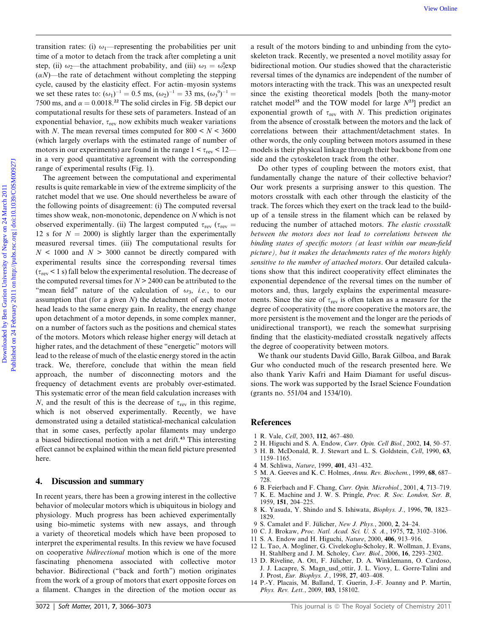transition rates: (i)  $\omega_1$ —representing the probabilities per unit time of a motor to detach from the track after completing a unit step, (ii)  $\omega_2$ —the attachment probability, and (iii)  $\omega_3 = \omega_3^0 \exp$  $(\alpha N)$ —the rate of detachment without completing the stepping cycle, caused by the elasticity effect. For actin–myosin systems we set these rates to:  $(\omega_1)^{-1} = 0.5$  ms,  $(\omega_2)^{-1} = 33$  ms,  $(\omega_3^0)^{-1} =$ 7500 ms, and  $\alpha = 0.0018$ .<sup>22</sup> The solid circles in Fig. 5B depict our computational results for these sets of parameters. Instead of an exponential behavior,  $\tau_{\text{rev}}$  now exhibits much weaker variations with N. The mean reversal times computed for  $800 < N < 3600$ (which largely overlaps with the estimated range of number of motors in our experiments) are found in the range  $1 < \tau_{\text{rev}} < 12$  in a very good quantitative agreement with the corresponding range of experimental results (Fig. 1).

The agreement between the computational and experimental results is quite remarkable in view of the extreme simplicity of the ratchet model that we use. One should nevertheless be aware of the following points of disagreement: (i) The computed reversal times show weak, non-monotonic, dependence on N which is not observed experimentally. (ii) The largest computed  $\tau_{rev}$  ( $\tau_{rev}$  = 12 s for  $N = 2000$ ) is slightly larger than the experimentally measured reversal times. (iii) The computational results for  $N \leq 1000$  and  $N \geq 3000$  cannot be directly compared with experimental results since the corresponding reversal times  $(\tau_{rev}$  < 1 s) fall below the experimental resolution. The decrease of the computed reversal times for  $N > 2400$  can be attributed to the "mean field" nature of the calculation of  $\omega_3$ , *i.e.*, to our assumption that (for a given  $N$ ) the detachment of each motor head leads to the same energy gain. In reality, the energy change upon detachment of a motor depends, in some complex manner, on a number of factors such as the positions and chemical states of the motors. Motors which release higher energy will detach at higher rates, and the detachment of these "energetic" motors will lead to the release of much of the elastic energy stored in the actin track. We, therefore, conclude that within the mean field approach, the number of disconnecting motors and the frequency of detachment events are probably over-estimated. This systematic error of the mean field calculation increases with N, and the result of this is the decrease of  $\tau_{\text{rev}}$  in this regime, which is not observed experimentally. Recently, we have demonstrated using a detailed statistical-mechanical calculation that in some cases, perfectly apolar filaments may undergo a biased bidirectional motion with a net drift.<sup>43</sup> This interesting effect cannot be explained within the mean field picture presented here. We Online<br>
Denotine rates (i)  $\omega_1$ , representing the probabilities per unit a mead of the metars bendefit on the Secondar Condar<br>
into the Secondary condition and the secondary and (ii)  $\omega_1 = \omega_2$  is<br>  $\omega_2$ . The rate

### 4. Discussion and summary

In recent years, there has been a growing interest in the collective behavior of molecular motors which is ubiquitous in biology and physiology. Much progress has been achieved experimentally using bio-mimetic systems with new assays, and through a variety of theoretical models which have been proposed to interpret the experimental results. In this review we have focused on cooperative bidirectional motion which is one of the more fascinating phenomena associated with collective motor behavior. Bidirectional (''back and forth'') motion originates from the work of a group of motors that exert opposite forces on a filament. Changes in the direction of the motion occur as a result of the motors binding to and unbinding from the cytoskeleton track. Recently, we presented a novel motility assay for bidirectional motion. Our studies showed that the characteristic reversal times of the dynamics are independent of the number of motors interacting with the track. This was an unexpected result since the existing theoretical models [both the many-motor ratchet model<sup>35</sup> and the TOW model for large  $N^{23}$ ] predict an exponential growth of  $\tau_{\text{rev}}$  with N. This prediction originates from the absence of crosstalk between the motors and the lack of correlations between their attachment/detachment states. In other words, the only coupling between motors assumed in these models is their physical linkage through their backbone from one side and the cytoskeleton track from the other.

Do other types of coupling between the motors exist, that fundamentally change the nature of their collective behavior? Our work presents a surprising answer to this question. The motors crosstalk with each other through the elasticity of the track. The forces which they exert on the track lead to the buildup of a tensile stress in the filament which can be relaxed by reducing the number of attached motors. The elastic crosstalk between the motors does not lead to correlations between the binding states of specific motors (at least within our mean-field picture), but it makes the detachments rates of the motors highly sensitive to the number of attached motors. Our detailed calculations show that this indirect cooperativity effect eliminates the exponential dependence of the reversal times on the number of motors and, thus, largely explains the experimental measurements. Since the size of  $\tau_{\text{rev}}$  is often taken as a measure for the degree of cooperativity (the more cooperative the motors are, the more persistent is the movement and the longer are the periods of unidirectional transport), we reach the somewhat surprising finding that the elasticity-mediated crosstalk negatively affects the degree of cooperativity between motors.

We thank our students David Gillo, Barak Gilboa, and Barak Gur who conducted much of the research presented here. We also thank Yariv Kafri and Haim Diamant for useful discussions. The work was supported by the Israel Science Foundation (grants no. 551/04 and 1534/10).

#### References

- 1 R. Vale, Cell, 2003, 112, 467–480.
- 2 H. Higuchi and S. A. Endow, Curr. Opin. Cell Biol., 2002, 14, 50–57.
- 3 H. B. McDonald, R. J. Stewart and L. S. Goldstein, Cell, 1990, 63, 1159–1165.
- 4 M. Schliwa, Nature, 1999, 401, 431–432.
- 5 M. A. Geeves and K. C. Holmes, Annu. Rev. Biochem., 1999, 68, 687– 728.
- 6 B. Feierbach and F. Chang, Curr. Opin. Microbiol., 2001, 4, 713–719.
- 7 K. E. Machine and J. W. S. Pringle, Proc. R. Soc. London, Ser. B, 1959, 151, 204–225.
- 8 K. Yasuda, Y. Shindo and S. Ishiwata, Biophys. J., 1996, 70, 1823– 1829.
- 9 S. Camalet and F. Jülicher, New J. Phys., 2000, 2, 24–24.
- 10 C. J. Brokaw, Proc. Natl. Acad. Sci. U. S. A., 1975, 72, 3102–3106.
- 11 S. A. Endow and H. Higuchi, Nature, 2000, 406, 913–916.
- 12 L. Tao, A. Mogliner, G. Civelekoglu-Scholey, R. Wollman, J. Evans, H. Stahlberg and J. M. Scholey, Curr. Biol., 2006, 16, 2293–2302.
- 13 D. Riveline, A. Ott, F. Jülicher, D. A. Winklemann, O. Cardoso, J. J. Lacapre, S. Magn\_usd\_ottir, J. L. Viovy, L. Gorre-Talini and J. Prost, Eur. Biophys. J., 1998, 27, 403–408.
- 14 P.-Y. Placais, M. Balland, T. Guerin, J.-F. Joanny and P. Martin, Phys. Rev. Lett., 2009, 103, 158102.